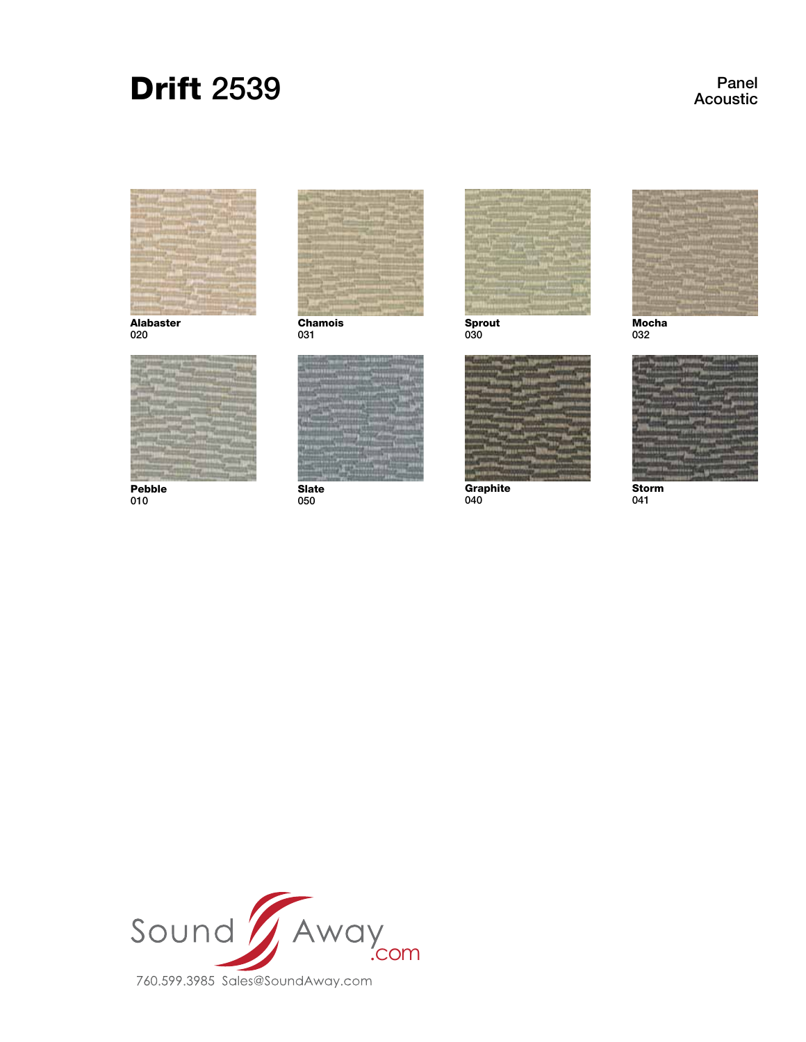# Drift 2539

Panel Acoustic



Alabaster 020



Pebble 010



Chamois 031



**Slate** 050



Sprout 030



Graphite 040



**Mocha** 032



Storm 041